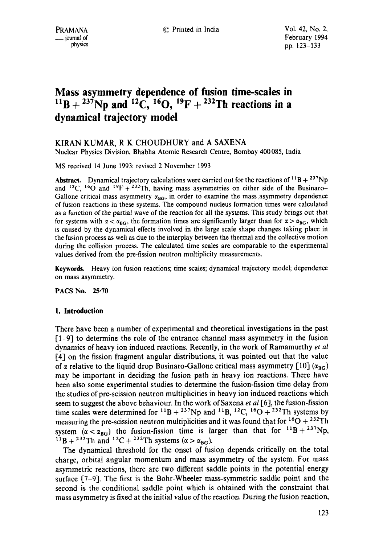# **Mass asymmetry dependence of fusion time-scales in**   $^{11}B + ^{237}Np$  and  $^{12}C$ ,  $^{16}O$ ,  $^{19}F + ^{232}Th$  reactions in a **dynamical trajectory model**

# KIRAN KUMAR, R K CHOUDHURY and A SAXENA

Nuclear Physics Division, Bhabha Atomic Research Centre, Bombay 400085, India

MS received 14 June 1993; revised 2 November 1993

Abstract. Dynamical trajectory calculations were carried out for the reactions of  ${}^{11}B + {}^{237}Np$ and  $^{12}C$ ,  $^{16}O$  and  $^{19}F+^{232}Th$ , having mass asymmetries on either side of the Businaro-Gallone critical mass asymmetry  $\alpha_{BG}$ , in order to examine the mass asymmetry dependence of fusion reactions in these systems. The compound nucleus formation times were calculated as a function of the partial wave of the reaction for all the systgms. This study brings out that for systems with  $\alpha < \alpha_{\text{BG}}$ , the formation times are significantly larger than for  $\alpha > \alpha_{\text{BG}}$ , which is caused by the dynamical effects involved in the large scale shape changes taking place in the fusion process as well as due to the interplay between the thermal and the collective motion during the collision process. The calculated time scales are comparable to the experimental values derived from the pre-fission neutron multiplicity measurements.

**Keywords.** Heavy ion fusion reactions; time scales; dynamical trajectory model; dependence on mass asymmetry.

PACS No. 25.70

## **1. Introduction**

There have been a number of experimental and theoretical investigations in the past [1-9] to determine the role of the entrance channel mass asymmetry in the fusion dynamics of heavy ion induced reactions. Recently, in the work of Ramamurthy *et al*  [4] on the fission fragment angular distributions, it was pointed out that the value of  $\alpha$  relative to the liquid drop Businaro-Gallone critical mass asymmetry [10] ( $\alpha_{RG}$ ) may be important in deciding the fusion path in heavy ion reactions. There have been also some experimental studies to determine the fusion-fission time delay from the studies of pre-scission neutron multiplicities in heavy ion induced reactions which seem to suggest the above behaviour. In the work of Saxena *et al* [6], the fusion-fission time scales were determined for <sup>11</sup>B + <sup>237</sup>Np and <sup>11</sup>B, <sup>12</sup>C, <sup>16</sup>O + <sup>232</sup>Th systems by measuring the pre-scission neutron multiplicities and it was found that for  ${}^{16}O + {}^{232}Th$ system  $(\alpha < \alpha_{BG})$  the fusion-fission time is larger than that for  $^{11}B + ^{237}Np$ , <sup>11</sup>B + <sup>232</sup>Th and <sup>12</sup>C + <sup>232</sup>Th systems ( $\alpha > \alpha_{\text{BG}}$ ).

The dynamical threshold for the onset of fusion depends critically on the total charge, orbital angular momentum and mass asymmetry of the system. For mass asymmetric reactions, there are two different saddle points in the potential energy surface [7-9]. The first is the Bohr-Wheeler mass-symmetric saddle point and the second is the conditional saddle point which is obtained with the constraint that mass asymmetry is fixed at the initial value of the reaction. During the fusion reaction,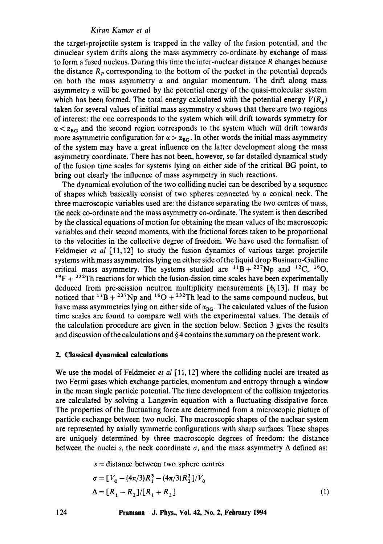## *Kfran Kumar et al*

the target-projectile system is trapped in the valley of the fusion potential, and the dinuclear system drifts along the mass asymmetry co-ordinate by exchange of mass to form a fused nucleus. During this time the inter-nuclear distance R changes because the distance  $R_p$  corresponding to the bottom of the pocket in the potential depends on both the mass asymmetry  $\alpha$  and angular momentum. The drift along mass asymmetry  $\alpha$  will be governed by the potential energy of the quasi-molecular system which has been formed. The total energy calculated with the potential energy  $V(R_n)$ taken for several values of initial mass asymmetry  $\alpha$  shows that there are two regions of interest: the one corresponds to the system which will drift towards symmetry for  $\alpha < \alpha_{\text{BG}}$  and the second region corresponds to the system which will drift towards more asymmetric configuration for  $\alpha > \alpha_{BG}$ . In other words the initial mass asymmetry of the system may have a great influence on the latter development along the mass asymmetry coordinate. There has not been, however, so far detailed dynamical study of the fusion time scales for systems lying on either side of the critical BG point, to bring out clearly the influence of mass asymmetry in such reactions.

The dynamical evolution of the two colliding nuclei can be described by a sequence of shapes which basically consist of two spheres connected by a conical neck. The three macroscopic variables used are: the distance separating the two centres of mass, the neck co-ordinate and the mass asymmetry co-ordinate. The system is then described by the classical equations of motion for obtaining the mean values of the macroscopic variables and their second moments, with the frictional forces taken to be proportional to the velocities in the collective degree of freedom. We have used the formalism of Feldmeier *et al* [11, 12] to study the fusion dynamics of various target projectile systems with mass asymmetries lying on either side of the liquid drop Businaro-Galline critical mass asymmetry. The systems studied are  $^{11}B + ^{237}Np$  and  $^{12}C$ ,  $^{16}O$ ,  $19F + 232T$ h reactions for which the fusion-fission time scales have been experimentally deduced from pre-scission neutron multiplicity measurements [6, 13]. It may he noticed that  $^{11}B + ^{237}Np$  and  $^{16}O + ^{232}Th$  lead to the same compound nucleus, but have mass asymmetries lying on either side of  $\alpha_{BG}$ . The calculated values of the fusion time scales are found to compare well with the experimental values. The details of the calculation procedure are given in the section below. Section 3 gives the results and discussion of the calculations and  $\S$  4 contains the summary on the present work.

## **2. Classical dynamical calculations**

We use the model of Feldmeier *et al* [11, 12] where the colliding nuclei are treated as two Fermi gases which exchange particles, momentum and entropy through a window in the mean single particle potential. The time development of the collision trajectories are calculated by solving a Langevin equation with a fluctuating dissipative force. The properties of the fluctuating force are determined from a microscopic picture of particle exchange between two nuclei. The macroscopic shapes of the nuclear system are represented by axially symmetric configurations with sharp surfaces. These shapes are uniquely determined by three macroscopic degrees of freedom: the distance between the nuclei s, the neck coordinate  $\sigma$ , and the mass asymmetry  $\Delta$  defined as:

 $s =$  distance between two sphere centres

$$
\sigma = [V_0 - (4\pi/3)R_1^3 - (4\pi/3)R_2^3]/V_0
$$
  
\n
$$
\Delta = [R_1 - R_2]/[R_1 + R_2]
$$
\n(1)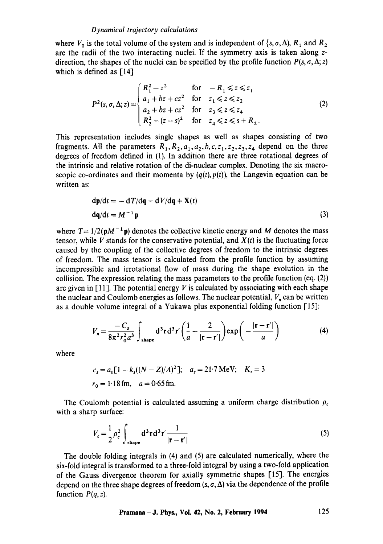where  $V_0$  is the total volume of the system and is independent of  $\{s, \sigma, \Delta\}$ ,  $R_1$  and  $R_2$ are the radii of the two interacting nuclei. If the symmetry axis is taken along zdirection, the shapes of the nuclei can be specified by the profile function  $P(s, \sigma, \Delta; z)$ which is defined as [14]

$$
P^{2}(s, \sigma, \Delta; z) = \begin{cases} R_{1}^{2} - z^{2} & \text{for } -R_{1} \leq z \leq z_{1} \\ a_{1} + bz + cz^{2} & \text{for } z_{1} \leq z \leq z_{2} \\ a_{2} + bz + cz^{2} & \text{for } z_{3} \leq z \leq z_{4} \\ R_{2}^{2} - (z - s)^{2} & \text{for } z_{4} \leq z \leq s + R_{2}. \end{cases}
$$
(2)

This representation includes single shapes as well as shapes consisting of two fragments. All the parameters  $R_1, R_2, a_1, a_2, b, c, z_1, z_2, z_3, z_4$  depend on the three degrees of freedom defined in (1). In addition there are three rotational degrees of the intrinsic and relative rotation of the di-nuclear complex. Denoting the six macroscopic co-ordinates and their momenta by  $(q(t), p(t))$ , the Langevin equation can be written as:

$$
dp/dt = -dT/dq - dV/dq + X(t)
$$
  
 
$$
dq/dt = M^{-1}p
$$
 (3)

where  $T = 1/2(pM^{-1}p)$  denotes the collective kinetic energy and M denotes the mass tensor, while V stands for the conservative potential, and  $X(t)$  is the fluctuating force caused by the coupling of the collective degrees of freedom to the intrinsic degrees of freedom. The mass tensor is calculated from the profile function by assuming incompressible and irrotational flow of mass during the shape evolution in the collision. The expression relating the mass parameters to the profile function (eq. (2)) are given in [11]. The potential energy V is calculated by associating with each shape the nuclear and Coulomb energies as follows. The nuclear potential,  $V_n$  can be written as a double volume integral of a Yukawa plus exponential folding function [15]:

$$
V_n = \frac{-C_s}{8\pi^2 r_0^2 a^3} \int_{\text{shape}} d^3 \mathbf{r} d^3 \mathbf{r}' \left(\frac{1}{a} - \frac{2}{|\mathbf{r} - \mathbf{r}'|}\right) \exp\left(-\frac{|\mathbf{r} - \mathbf{r}'|}{a}\right) \tag{4}
$$

where

$$
c_s = a_s [1 - k_s ((N - Z)/A)^2]; \quad a_s = 21.7 \text{ MeV}; \quad K_s = 3
$$
  

$$
r_0 = 1.18 \text{ fm}, \quad a = 0.65 \text{ fm}.
$$

The Coulomb potential is calculated assuming a uniform charge distribution  $\rho_c$ with a sharp surface:

$$
V_c = \frac{1}{2} \rho_c^2 \int_{\text{shape}} d^3 \mathbf{r} d^3 \mathbf{r}' \frac{1}{|\mathbf{r} - \mathbf{r}'|}
$$
 (5)

The double folding integrals in (4) and (5) are calculated numerically, where the six-fold integral is transformed to a three-fold integral by using a two-fold application of the Gauss divergence theorem for axially symmetric shapes [15]. The energies depend on the three shape degrees of freedom  $(s, \sigma, \Delta)$  via the dependence of the profile function  $P(q, z)$ .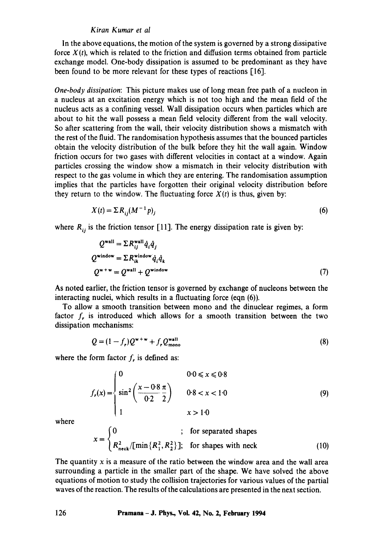#### *Kiran Kumar et al*

In the above equations, the motion of the system is governed by a strong dissipative force  $X(t)$ , which is related to the friction and diffusion terms obtained from particle exchange model. One-body dissipation is assumed to be predominant as they have been found to be more relevant for these types of reactions [16].

*One-body dissipation:* This picture makes use of long mean free path of a nucleon in a nucleus at an excitation energy which is not too high and the mean field of the nucleus acts as a confining vessel. Wall dissipation occurs when.particles which are about to hit the wall possess a mean field velocity different from the wall velocity. So after scattering from the wall, their velocity distribution shows a mismatch with the rest of the fluid. The randomisation hypothesis assumes that the bounced particles obtain the velocity distribution of the bulk before they hit the wall again. Window friction occurs for two gases with different velocities in contact at a window. Again particles crossing the window show a mismatch in their velocity distribution with respect to the gas volume in which they are entering. The randomisation assumption implies that the particles have forgotten their original velocity distribution before they return to the window. The fluctuating force  $X(t)$  is thus, given by:

$$
X(t) = \sum R_{ij} (M^{-1} p)_i \tag{6}
$$

where  $R_{ij}$  is the friction tensor [11]. The energy dissipation rate is given by:

$$
Q^{\text{wall}} = \Sigma R_{ij}^{\text{wall}} \dot{q}_i \dot{q}_j
$$
  
\n
$$
Q^{\text{window}} = \Sigma R_{ik}^{\text{window}} \dot{q}_i \dot{q}_k
$$
  
\n
$$
Q^{\text{w+w}} = Q^{\text{wall}} + Q^{\text{window}}
$$
 (7)

As noted earlier, the friction tensor is governed by exchange of nucleons between the interacting nuclei, which results in a fluctuating force (eqn (6)).

To allow a smooth transition between mono and the dinuclear regimes, a form factor  $f_r$  is introduced which allows for a smooth transition between the two dissipation mechanisms:

$$
Q = (1 - fr)Qw+w + frQwallmono
$$
 (8)

where the form factor  $f_r$  is defined as:

$$
f_r(x) = \begin{cases} 0 & 0 \le x \le 0.8 \\ \sin^2\left(\frac{x - 0.8}{0.2} \frac{\pi}{2}\right) & 0.8 < x < 1.0 \\ 1 & x > 1.0 \end{cases} \tag{9}
$$

where

$$
x = \begin{cases} 0 & ; \text{ for separated shapes} \\ R_{\text{neck}}^2 / [\min\{R_1^2, R_2^2\}]; & \text{for shapes with neck} \end{cases}
$$
 (10)

The quantity  $x$  is a measure of the ratio between the window area and the wall area surrounding a particle in the smaller part of the shape. We have solved the above equations of motion to study the collision trajectories for various values of the partial waves of the reaction. The results of the calculations are presented in the next section.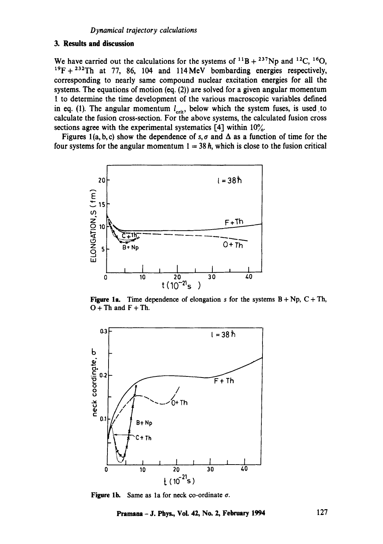# **3. Results and discussion**

We have carried out the calculations for the systems of  $^{11}B + ^{237}Np$  and  $^{12}C$ ,  $^{16}O$ ,  $19F + 232T$ h at 77, 86, 104 and 114 MeV bombarding energies respectively, corresponding to nearly same compound nuclear excitation energies for all the systems. The equations of motion (eq. (2)) are solved for a given angular momentum 1 to determine the time development of the various macroscopic variables defined in eq. (1). The angular momentum  $l_{\text{crit}}$ , below which the system fuses, is used to calculate the fusion cross-section. For the above systems, the calculated fusion cross sections agree with the experimental systematics  $[4]$  within  $10\%$ .

Figures 1(a, b, c) show the dependence of s,  $\sigma$  and  $\Delta$  as a function of time for the four systems for the angular momentum  $1 = 38 \hbar$ , which is close to the fusion critical



Figure 1a. Time dependence of elongation s for the systems  $B + Np$ ,  $C + Th$ ,  $O + Th$  and  $F + Th$ .



**Figure lb.**  Same as la for neck co-ordinate ¢.

**Pramana- J. Phys., Vol. 42, No. 2, February 1994 127**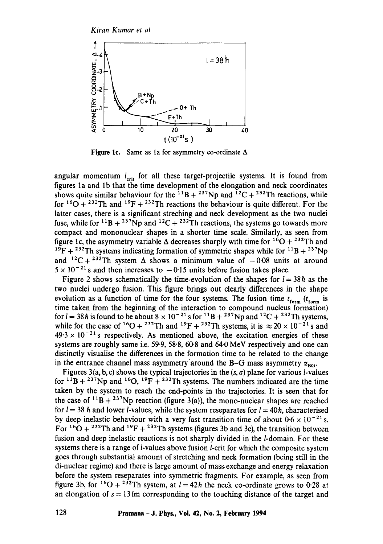

**Figure lc.**  Same as la for asymmetry co-ordinate A.

angular momentum  $l_{\text{crit}}$  for all these target-projectile systems. It is found from figures la and lb that the time development of the elongation and neck coordinates shows quite similar behaviour for the  $^{11}B + ^{237}Np$  and  $^{12}C + ^{232}Th$  reactions, while for  $160 + 232$ Th and  $19F + 232$ Th reactions the behaviour is quite different. For the latter cases, there is a significant streching and neck development as the two nuclei fuse, while for <sup>11</sup>B + <sup>237</sup>Np and <sup>12</sup>C + <sup>232</sup>Th reactions, the systems go towards more compact and mononuclear shapes in a shorter time scale. Similarly, as seen from figure 1c, the asymmetry variable  $\Delta$  decreases sharply with time for <sup>16</sup>O + <sup>232</sup>Th and <sup>19</sup>F + <sup>232</sup>Th systems indicating formation of symmetric shapes while for <sup>11</sup>B + <sup>237</sup>Np and <sup>12</sup>C + <sup>232</sup>Th system  $\Delta$  shows a minimum value of  $-0.08$  units at around  $5 \times 10^{-21}$  s and then increases to  $-0.15$  units before fusion takes place.

Figure 2 shows schematically the time-evolution of the shapes for  $l = 38h$  as the two nuclei undergo fusion. This figure brings out clearly differences in the shape evolution as a function of time for the four systems. The fusion time  $t_{form}$  ( $t_{form}$  is time taken from the beginning of the interaction to compound nucleus formation) for  $l = 38h$  is found to be about  $8 \times 10^{-21}$  s for  ${}^{11}B + {}^{237}Np$  and  ${}^{12}C + {}^{232}Th$  systems, while for the case of <sup>16</sup>O + <sup>232</sup>Th and <sup>19</sup>F + <sup>232</sup>Th systems, it is  $\approx 20 \times 10^{-21}$  s and  $49.3 \times 10^{-24}$  s respectively. As mentioned above, the excitation energies of these systems are roughly same i.e. 59.9, 58.8, 60.8 and 64-0 MeV respectively and one can distinctly visualise the differences in the formation time to be related to the change in the entrance channel mass asymmetry around the B-G mass asymmetry  $\alpha_{\text{BG}}$ .

Figures 3(a, b, c) shows the typical trajectories in the  $(s, \sigma)$  plane for various *l*-values for  $11B + 237Np$  and  $16O$ ,  $19F + 232Th$  systems. The numbers indicated are the time taken by the system to reach the end-points in the trajectories. It is seen that for the case of  $11B + 237Np$  reaction (figure 3(a)), the mono-nuclear shapes are reached for  $l = 38$  h and lower *l*-values, while the system reseparates for  $l = 40$ h, characterised by deep inelastic behaviour with a very fast transition time of about  $0.6 \times 10^{-21}$  s. For  $16O + 232Th$  and  $19F + 232Th$  systems (figures 3b and 3c), the transition between fusion and deep inelastic reactions is not sharply divided in the *l*-domain. For these systems there is a range of *l*-values above fusion *l*-crit for which the composite system goes through substantial amount of stretching and neck formation (being still in the di-nuclear regime) and there is large amount of mass, exchange and energy relaxation before the system reseparates into symmetric fragments. For example, as seen from figure 3b, for <sup>16</sup>O + <sup>232</sup>Th system, at  $l = 42h$  the neck co-ordinate grows to 0.28 at an elongation of  $s = 13$  fm corresponding to the touching distance of the target and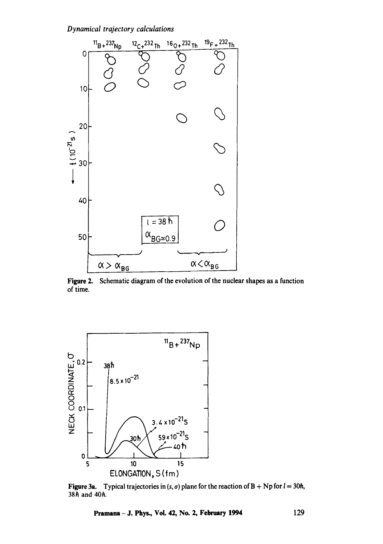

**Figure 2.**  Schematic diagram of the evolution of the nuclear shapes as a function of time.



**Figure 3a.** Typical trajectories in  $(s, \sigma)$  plane for the reaction of  $B + Np$  for  $l = 30h$ , 38h and 40h.

**Pramana - J. Phys., Vol. 42, No. 2, February 1994** 129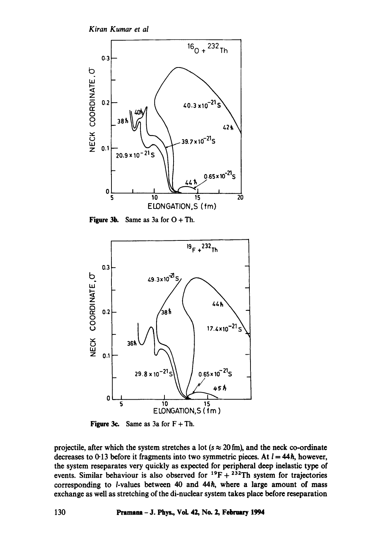*Kiran Kumar et al* 



**Figure 3b.** Same as 3a for  $O + Th$ .



**Figure 3c.** Same as 3a for  $F + Th$ .

projectile, after which the system stretches a lot ( $s \approx 20$  fm), and the neck co-ordinate decreases to 0.13 before it fragments into two symmetric pieces. At  $l = 44h$ , however, the system reseparates very quickly as expected for peripheral deep inelastic type of events. Similar behaviour is also observed for  $^{19}F + ^{232}Th$  system for trajectories corresponding to *l*-values between 40 and 44h, where a large amount of mass exchange as well as stretching of the di-nuclear system takes place before reseparation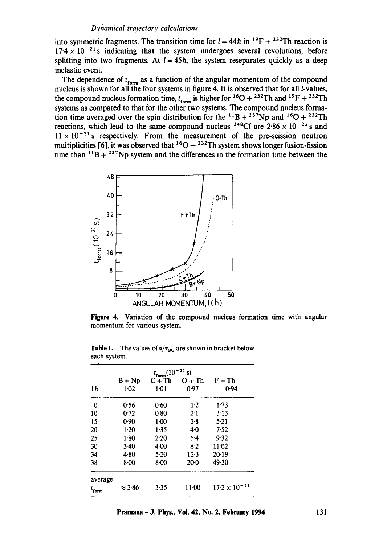into symmetric fragments. The transition time for  $l = 44h$  in <sup>19</sup>F + <sup>232</sup>Th reaction is  $17.4 \times 10^{-21}$  s indicating that the system undergoes several revolutions, before splitting into two fragments. At  $l = 45\hbar$ , the system reseparates quickly as a deep inelastic event.

The dependence of  $t_{form}$  as a function of the angular momentum of the compound nucleus is shown for all the four systems in figure 4. It is observed that for all  $l$ -values, the compound nucleus formation time,  $t_{form}$  is higher for  ${}^{16}O + {}^{232}Th$  and  ${}^{19}F + {}^{232}Th$ systems as compared to that for the other two systems. The compound nucleus formation time averaged over the spin distribution for the <sup>11</sup>B + <sup>237</sup>Np and <sup>16</sup>O + <sup>232</sup>Th reactions, which lead to the same compound nucleus <sup>248</sup>Cf are  $2.86 \times 10^{-21}$  s and  $11 \times 10^{-21}$  s respectively. From the measurement of the pre-scission neutron multiplicities [6], it was observed that  ${}^{16}O + {}^{232}Th$  system shows longer fusion-fission time than  $11B + 237Np$  system and the differences in the formation time between the



Figure 4. Variation of the compound nucleus formation time with angular momentum for various system.

| $t_{form} (10^{-21} s)$ |                |          |           |                            |
|-------------------------|----------------|----------|-----------|----------------------------|
|                         | $B + Np$       | $C+Th$   | $O + Th$  | $\mathrm{F} + \mathrm{Th}$ |
| 1 <sub>h</sub>          | 1.02           | $1-01$   | 0.97      | 0.94                       |
| $\bf{0}$                | 0.56           | 0.60     | $1-2$     | 1.73                       |
| 10                      | 0.72           | 0.80     | 2.1       | 3.13                       |
| 15                      | 0.90           | $1-00$   | 2.8       | 5:21                       |
| 20                      | $1-20$         | 1.35     | 40        | 7.52                       |
| 25                      | 1.80           | 2.20     | $5-4$     | 9.32                       |
| 30                      | 3.40           | $4 - 00$ | $8-2$     | $11 - 02$                  |
| 34                      | 4.80           | 5.20     | 12.3      | 20.19                      |
| 38                      | $8 - 00$       | $8 - 00$ | $20 - 0$  | 49.30                      |
| average                 |                |          |           |                            |
| $t_{\rm form}$          | $\approx$ 2.86 | 3.35     | $11 - 00$ | $17.2 \times 10^{-21}$     |

**Table 1.** The values of  $\alpha/\alpha_{BG}$  are shown in bracket below each system.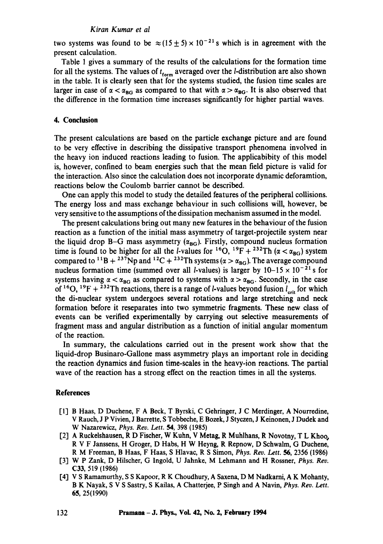#### *Kiran Kumar et al*

two systems was found to be  $\approx (15 \pm 5) \times 10^{-21}$  s which is in agreement with the present calculation.

Table 1 gives a summary of the results of the calculations for the formation time for all the systems. The values of  $t_{form}$  averaged over the *l*-distribution are also shown in the table. It is clearly seen that for the systems studied, the fusion time scales are larger in case of  $\alpha < \alpha_{BG}$  as compared to that with  $\alpha > \alpha_{BG}$ . It is also observed that the difference in the formation time increases significantly for higher partial waves.

#### **4. Conclusion**

The present calculations are based on the particle exchange picture and are found to be very effective in describing the dissipative transport phenomena involved in the heavy ion induced reactions leading to fusion. The applicabibity of this model is, however, confined to beam energies such that the mean field picture is valid for the interaction. Also since the calculation does not incorporate dynamic deforamtion, reactions below the Coulomb barrier cannot be described.

One can apply this model to study the detailed features of the peripheral collisions. The energy loss and mass exchange behaviour in such collisions will, however, be very sensitive to the assumptions ofthe dissipation mechanism assumed in the model.

The present calculations bring out many new features in the behaviour of the fusion reaction as a function of the initial mass asymmetry of target-projectile system near the liquid drop B-G mass asymmetry ( $\alpha_{BG}$ ). Firstly, compound nucleus formation time is found to be higher for all the *l*-values for <sup>16</sup>O, <sup>19</sup>F + <sup>232</sup>Th ( $\alpha < \alpha_{BC}$ ) system compared to <sup>11</sup>B + <sup>237</sup>Np and <sup>12</sup>C + <sup>232</sup>Th systems ( $\alpha > \alpha_{BG}$ ). The average compound nucleus formation time (summed over all *l*-values) is larger by  $10-15 \times 10^{-21}$  s for systems having  $\alpha < \alpha_{BG}$  as compared to systems with  $\alpha > \alpha_{BG}$ . Secondly, in the case of <sup>16</sup>O, <sup>19</sup>F + <sup>232</sup>Th reactions, there is a range of *l*-values beyond fusion  $l_{crit}$  for which the di-nuclear system undergoes several rotations and large stretching and neck formation before it reseparates into two symmetric fragments. These new class of events can be verified experimentally by carrying out selective measurements of fragment mass and angular distribution as a function of initial angular momentum of the reaction.

In summary, the calculations carried out in the present work show that the liquid-drop Businaro-Gallone mass asymmetry plays an important role in deciding the reaction dynamics and fusion time-scales in the heavy-ion reactions. The partial wave of the reaction has a strong effect on the reaction times in all the systems.

#### **References**

- [1] B Haas, D Duchene, F A Beck, T Byrski, C Gehfinger, J C Merdinger, A Nourredine, V Rauch, J P Vivien, J Barrette, S Tobbeche, E Bozek, J Styczen, J Keinonen, J Dudek and W Nazarewicz, *Phys. Rev. Lett. 54,* 398 (1985)
- [2] A Ruckelshausen, R D Fischer, W Kuhn, V Metag, R Muhlhans, R Novotny, T L Khoo~ R V F Janssens, H Groger, D Habs, H W Heyng, R Repnow, D Schwalm, G Duchene, R M Freeman, B Haas, F Haas, S Hlavac, R S Simon, *Phys. Rev. Lett. 56,* 2356 (1986)
- [3] W P Zank, D Hilscher, G lngold, U Jahnke, M Lehmann and H Rossner, *Phys. Rev.*  C33, 519 (1986)
- [4] V S Ramamurthy, S S Kapoor, R K Choudhury, A Saxena, D M Nadkami, A K Mohanty, B K Nayak, S V S Sastry, S Kailas, A Chatterjee, P Singh and A Navin, *Phys. Rev. Lett.*  65, 25(1990)